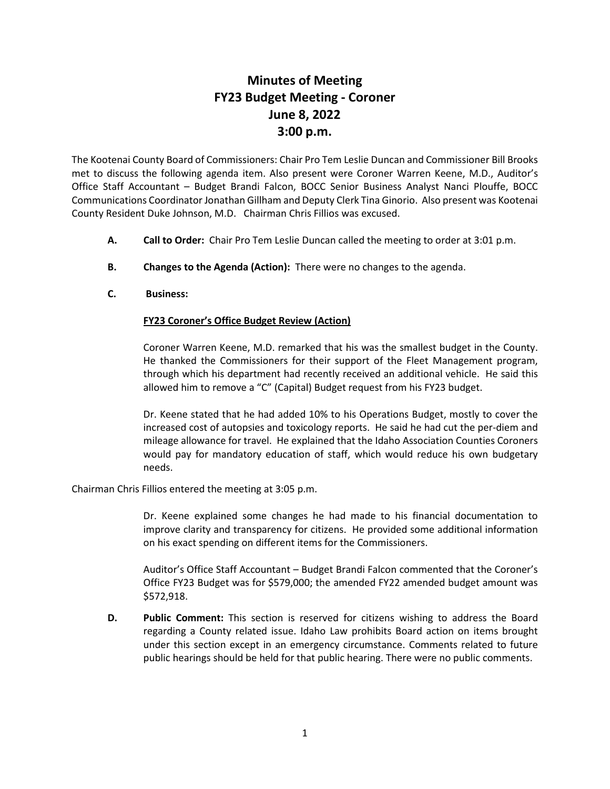## **Minutes of Meeting FY23 Budget Meeting - Coroner June 8, 2022 3:00 p.m.**

The Kootenai County Board of Commissioners: Chair Pro Tem Leslie Duncan and Commissioner Bill Brooks met to discuss the following agenda item. Also present were Coroner Warren Keene, M.D., Auditor's Office Staff Accountant – Budget Brandi Falcon, BOCC Senior Business Analyst Nanci Plouffe, BOCC Communications Coordinator Jonathan Gillham and Deputy Clerk Tina Ginorio. Also present was Kootenai County Resident Duke Johnson, M.D. Chairman Chris Fillios was excused.

- **A. Call to Order:** Chair Pro Tem Leslie Duncan called the meeting to order at 3:01 p.m.
- **B. Changes to the Agenda (Action):** There were no changes to the agenda.
- **C. Business:**

## **FY23 Coroner's Office Budget Review (Action)**

Coroner Warren Keene, M.D. remarked that his was the smallest budget in the County. He thanked the Commissioners for their support of the Fleet Management program, through which his department had recently received an additional vehicle. He said this allowed him to remove a "C" (Capital) Budget request from his FY23 budget.

Dr. Keene stated that he had added 10% to his Operations Budget, mostly to cover the increased cost of autopsies and toxicology reports. He said he had cut the per-diem and mileage allowance for travel. He explained that the Idaho Association Counties Coroners would pay for mandatory education of staff, which would reduce his own budgetary needs.

Chairman Chris Fillios entered the meeting at 3:05 p.m.

Dr. Keene explained some changes he had made to his financial documentation to improve clarity and transparency for citizens. He provided some additional information on his exact spending on different items for the Commissioners.

Auditor's Office Staff Accountant – Budget Brandi Falcon commented that the Coroner's Office FY23 Budget was for \$579,000; the amended FY22 amended budget amount was \$572,918.

**D. Public Comment:** This section is reserved for citizens wishing to address the Board regarding a County related issue. Idaho Law prohibits Board action on items brought under this section except in an emergency circumstance. Comments related to future public hearings should be held for that public hearing. There were no public comments.